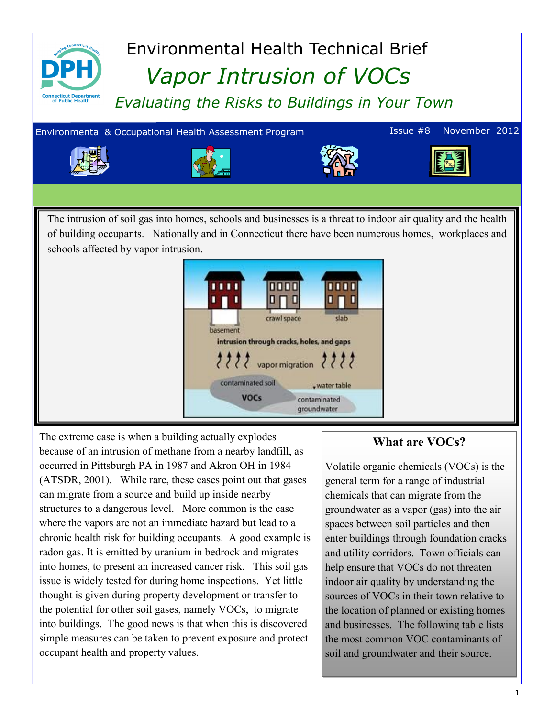

The extreme case is when a building actually explodes because of an intrusion of methane from a nearby landfill, as occurred in Pittsburgh PA in 1987 and Akron OH in 1984 (ATSDR, 2001). While rare, these cases point out that gases can migrate from a source and build up inside nearby structures to a dangerous level. More common is the case where the vapors are not an immediate hazard but lead to a chronic health risk for building occupants. A good example is radon gas. It is emitted by uranium in bedrock and migrates into homes, to present an increased cancer risk. This soil gas issue is widely tested for during home inspections. Yet little thought is given during property development or transfer to the potential for other soil gases, namely VOCs, to migrate into buildings. The good news is that when this is discovered simple measures can be taken to prevent exposure and protect occupant health and property values.

#### **What are VOCs?**

Volatile organic chemicals (VOCs) is the general term for a range of industrial chemicals that can migrate from the groundwater as a vapor (gas) into the air spaces between soil particles and then enter buildings through foundation cracks and utility corridors. Town officials can help ensure that VOCs do not threaten indoor air quality by understanding the sources of VOCs in their town relative to the location of planned or existing homes and businesses. The following table lists the most common VOC contaminants of soil and groundwater and their source.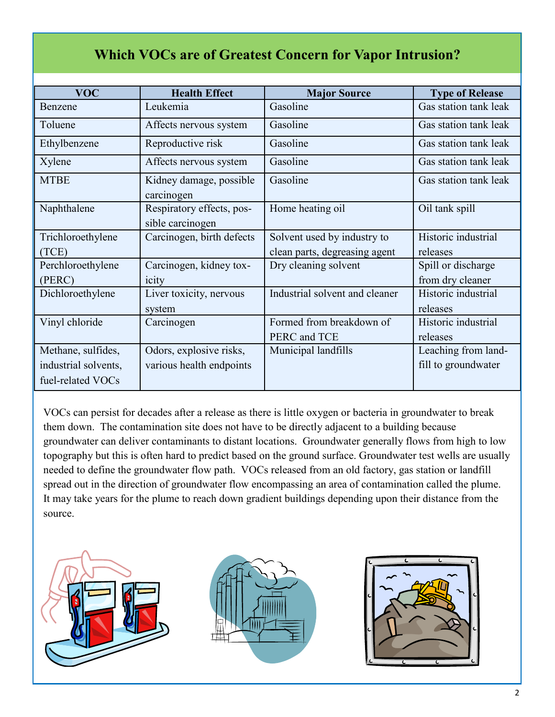# **Which VOCs are of Greatest Concern for Vapor Intrusion?**

| <b>VOC</b>           | <b>Health Effect</b>                          | <b>Major Source</b>            | <b>Type of Release</b> |
|----------------------|-----------------------------------------------|--------------------------------|------------------------|
| Benzene              | Leukemia                                      | Gasoline                       | Gas station tank leak  |
| Toluene              | Affects nervous system                        | Gasoline                       | Gas station tank leak  |
| Ethylbenzene         | Reproductive risk                             | Gasoline                       | Gas station tank leak  |
| Xylene               | Affects nervous system                        | Gasoline                       | Gas station tank leak  |
| <b>MTBE</b>          | Kidney damage, possible<br>carcinogen         | Gasoline                       | Gas station tank leak  |
| Naphthalene          | Respiratory effects, pos-<br>sible carcinogen | Home heating oil               | Oil tank spill         |
| Trichloroethylene    | Carcinogen, birth defects                     | Solvent used by industry to    | Historic industrial    |
| (TCE)                |                                               | clean parts, degreasing agent  | releases               |
| Perchloroethylene    | Carcinogen, kidney tox-                       | Dry cleaning solvent           | Spill or discharge     |
| (PERC)               | icity                                         |                                | from dry cleaner       |
| Dichloroethylene     | Liver toxicity, nervous                       | Industrial solvent and cleaner | Historic industrial    |
|                      | system                                        |                                | releases               |
| Vinyl chloride       | Carcinogen                                    | Formed from breakdown of       | Historic industrial    |
|                      |                                               | PERC and TCE                   | releases               |
| Methane, sulfides,   | Odors, explosive risks,                       | Municipal landfills            | Leaching from land-    |
| industrial solvents, | various health endpoints                      |                                | fill to groundwater    |
| fuel-related VOCs    |                                               |                                |                        |

VOCs can persist for decades after a release as there is little oxygen or bacteria in groundwater to break them down. The contamination site does not have to be directly adjacent to a building because groundwater can deliver contaminants to distant locations. Groundwater generally flows from high to low topography but this is often hard to predict based on the ground surface. Groundwater test wells are usually needed to define the groundwater flow path. VOCs released from an old factory, gas station or landfill spread out in the direction of groundwater flow encompassing an area of contamination called the plume. It may take years for the plume to reach down gradient buildings depending upon their distance from the source.

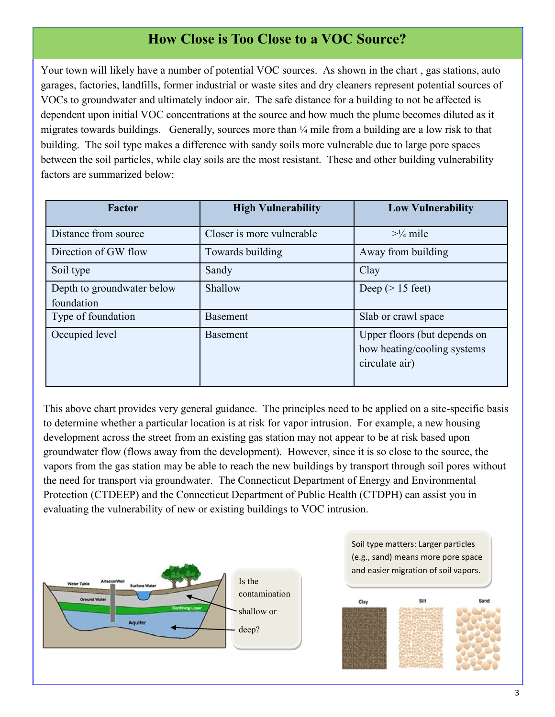# **How Close is Too Close to a VOC Source?**

Your town will likely have a number of potential VOC sources. As shown in the chart , gas stations, auto garages, factories, landfills, former industrial or waste sites and dry cleaners represent potential sources of VOCs to groundwater and ultimately indoor air. The safe distance for a building to not be affected is dependent upon initial VOC concentrations at the source and how much the plume becomes diluted as it migrates towards buildings. Generally, sources more than ¼ mile from a building are a low risk to that building. The soil type makes a difference with sandy soils more vulnerable due to large pore spaces between the soil particles, while clay soils are the most resistant. These and other building vulnerability factors are summarized below:

| <b>Factor</b>              | <b>High Vulnerability</b> | <b>Low Vulnerability</b>     |
|----------------------------|---------------------------|------------------------------|
| Distance from source       | Closer is more vulnerable | $>1/4$ mile                  |
| Direction of GW flow       | Towards building          | Away from building           |
| Soil type                  | Sandy                     | Clay                         |
| Depth to groundwater below | Shallow                   | Deep ( $> 15$ feet)          |
| foundation                 |                           |                              |
| Type of foundation         | <b>Basement</b>           | Slab or crawl space          |
| Occupied level             | <b>Basement</b>           | Upper floors (but depends on |
|                            |                           | how heating/cooling systems  |
|                            |                           | circulate air)               |
|                            |                           |                              |

This above chart provides very general guidance. The principles need to be applied on a site-specific basis to determine whether a particular location is at risk for vapor intrusion. For example, a new housing development across the street from an existing gas station may not appear to be at risk based upon groundwater flow (flows away from the development). However, since it is so close to the source, the vapors from the gas station may be able to reach the new buildings by transport through soil pores without the need for transport via groundwater. The Connecticut Department of Energy and Environmental Protection (CTDEEP) and the Connecticut Department of Public Health (CTDPH) can assist you in evaluating the vulnerability of new or existing buildings to VOC intrusion.



Soil type matters: Larger particles (e.g., sand) means more pore space and easier migration of soil vapors.

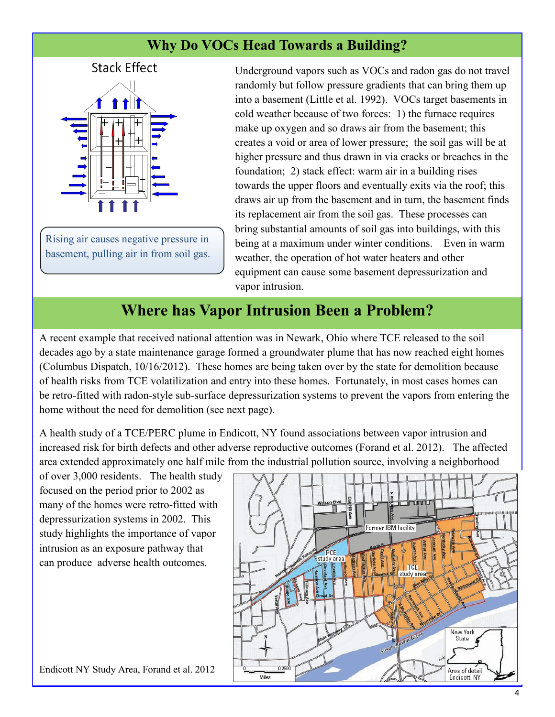# **Why Do VOCs Head Towards a Building?**



Rising air causes negative pressure in basement, pulling air in from soil gas. Underground vapors such as VOCs and radon gas do not travel randomly but follow pressure gradients that can bring them up into a basement (Little et al. 1992). VOCs target basements in cold weather because of two forces: 1) the furnace requires make up oxygen and so draws air from the basement; this creates a void or area of lower pressure; the soil gas will be at higher pressure and thus drawn in via cracks or breaches in the foundation; 2) stack effect: warm air in a building rises towards the upper floors and eventually exits via the roof; this draws air up from the basement and in turn, the basement finds its replacement air from the soil gas. These processes can bring substantial amounts of soil gas into buildings, with this being at a maximum under winter conditions. Even in warm weather, the operation of hot water heaters and other equipment can cause some basement depressurization and vapor intrusion.

# **Where has Vapor Intrusion Been a Problem?**

A recent example that received national attention was in Newark, Ohio where TCE released to the soil decades ago by a state maintenance garage formed a groundwater plume that has now reached eight homes (Columbus Dispatch, 10/16/2012). These homes are being taken over by the state for demolition because of health risks from TCE volatilization and entry into these homes. Fortunately, in most cases homes can be retro-fitted with radon-style sub-surface depressurization systems to prevent the vapors from entering the home without the need for demolition (see next page).

A health study of a TCE/PERC plume in Endicott, NY found associations between vapor intrusion and increased risk for birth defects and other adverse reproductive outcomes (Forand et al. 2012). The affected area extended approximately one half mile from the industrial pollution source, involving a neighborhood

of over 3,000 residents. The health study focused on the period prior to 2002 as many of the homes were retro-fitted with depressurization systems in 2002. This study highlights the importance of vapor intrusion as an exposure pathway that can produce adverse health outcomes.

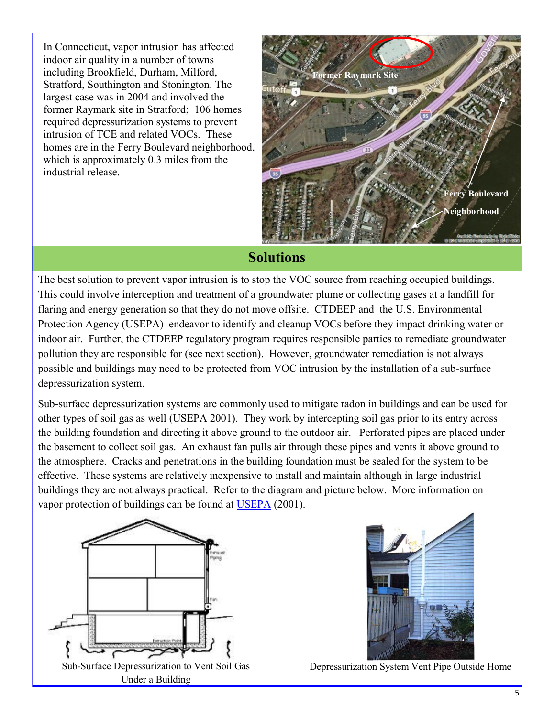In Connecticut, vapor intrusion has affected indoor air quality in a number of towns including Brookfield, Durham, Milford, Stratford, Southington and Stonington. The largest case was in 2004 and involved the former Raymark site in Stratford; 106 homes required depressurization systems to prevent intrusion of TCE and related VOCs. These homes are in the Ferry Boulevard neighborhood, which is approximately 0.3 miles from the industrial release.



### **Solutions**

The best solution to prevent vapor intrusion is to stop the VOC source from reaching occupied buildings. This could involve interception and treatment of a groundwater plume or collecting gases at a landfill for flaring and energy generation so that they do not move offsite. CTDEEP and the U.S. Environmental Protection Agency (USEPA) endeavor to identify and cleanup VOCs before they impact drinking water or indoor air. Further, the CTDEEP regulatory program requires responsible parties to remediate groundwater pollution they are responsible for (see next section). However, groundwater remediation is not always possible and buildings may need to be protected from VOC intrusion by the installation of a sub-surface depressurization system.

Sub-surface depressurization systems are commonly used to mitigate radon in buildings and can be used for other types of soil gas as well (USEPA 2001). They work by intercepting soil gas prior to its entry across the building foundation and directing it above ground to the outdoor air. Perforated pipes are placed under the basement to collect soil gas. An exhaust fan pulls air through these pipes and vents it above ground to the atmosphere. Cracks and penetrations in the building foundation must be sealed for the system to be effective. These systems are relatively inexpensive to install and maintain although in large industrial buildings they are not always practical. Refer to the diagram and picture below. More information on vapor protection of buildings can be found at [USEPA](http://www.epa.gov/radon/pdfs/buildradonout.pdf) (2001).





Depressurization System Vent Pipe Outside Home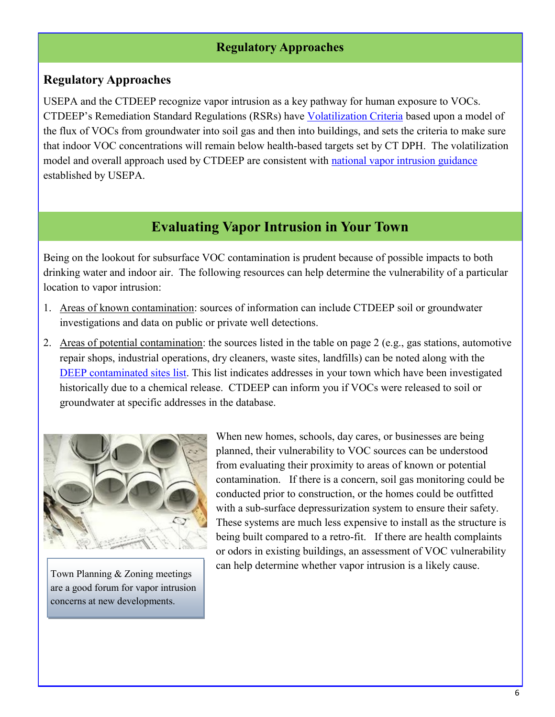#### **Regulatory Approaches**

#### **Regulatory Approaches**

USEPA and the CTDEEP recognize vapor intrusion as a key pathway for human exposure to VOCs. CTDEEP's Remediation Standard Regulations (RSRs) have [Volatilization Criteria](http://www.ct.gov/dep/cwp/view.asp?A=2715&Q=458652) based upon a model of the flux of VOCs from groundwater into soil gas and then into buildings, and sets the criteria to make sure that indoor VOC concentrations will remain below health-based targets set by CT DPH. The volatilization model and overall approach used by CTDEEP are consistent with [national vapor intrusion guidance](http://www.epa.gov/oswer/vaporintrusion/) established by USEPA.

## **Evaluating Vapor Intrusion in Your Town**

Being on the lookout for subsurface VOC contamination is prudent because of possible impacts to both drinking water and indoor air. The following resources can help determine the vulnerability of a particular location to vapor intrusion:

- 1. Areas of known contamination: sources of information can include CTDEEP soil or groundwater investigations and data on public or private well detections.
- 2. Areas of potential contamination: the sources listed in the table on page 2 (e.g., gas stations, automotive repair shops, industrial operations, dry cleaners, waste sites, landfills) can be noted along with the [DEEP contaminated sites list.](http://www.ct.gov/dep/cwp/view.asp?A=2715&Q=325018) This list indicates addresses in your town which have been investigated historically due to a chemical release. CTDEEP can inform you if VOCs were released to soil or groundwater at specific addresses in the database.



Town Planning & Zoning meetings are a good forum for vapor intrusion concerns at new developments.

When new homes, schools, day cares, or businesses are being planned, their vulnerability to VOC sources can be understood from evaluating their proximity to areas of known or potential contamination. If there is a concern, soil gas monitoring could be conducted prior to construction, or the homes could be outfitted with a sub-surface depressurization system to ensure their safety. These systems are much less expensive to install as the structure is being built compared to a retro-fit. If there are health complaints or odors in existing buildings, an assessment of VOC vulnerability can help determine whether vapor intrusion is a likely cause.